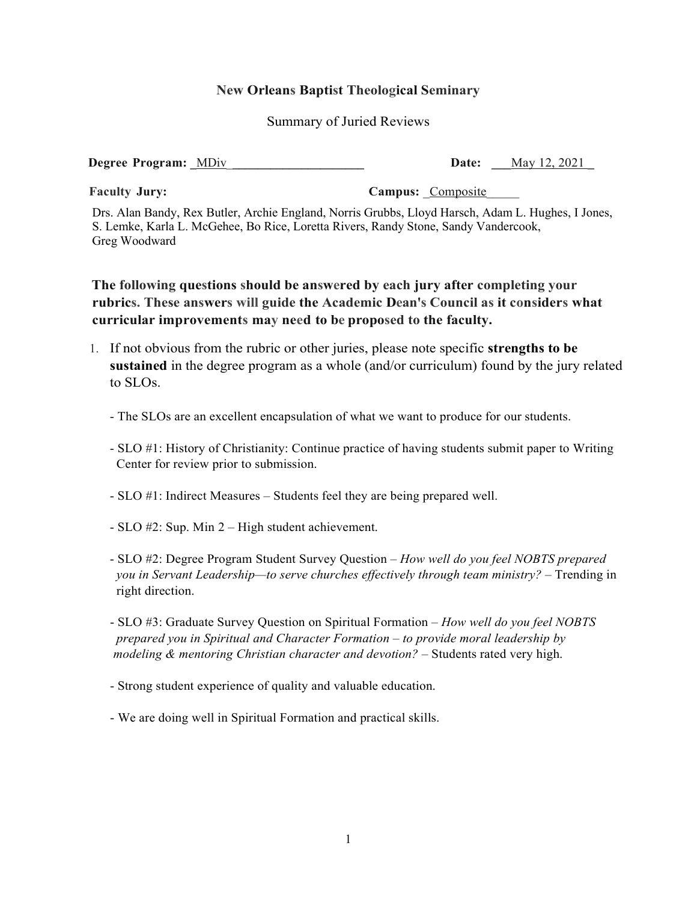## **New Orleans Baptist Theological Seminary**

Summary of Juried Reviews

**Degree Program:**  $\overline{\text{MDiv}}$  **Date:**  $\overline{\text{May 12, 2021}}$ 

**Faculty Jury: Campus:** Composite

Drs. Alan Bandy, Rex Butler, Archie England, Norris Grubbs, Lloyd Harsch, Adam L. Hughes, I Jones, S. Lemke, Karla L. McGehee, Bo Rice, Loretta Rivers, Randy Stone, Sandy Vandercook, Greg Woodward

**The following questions should be answered by each jury after completing your rubrics. These answers will guide the Academic Dean's Council as it considers what curricular improvements may need to be proposed to the faculty.**

- 1. If not obvious from the rubric or other juries, please note specific **strengths to be sustained** in the degree program as a whole (and/or curriculum) found by the jury related to SLOs.
	- The SLOs are an excellent encapsulation of what we want to produce for our students.
	- SLO #1: History of Christianity: Continue practice of having students submit paper to Writing Center for review prior to submission.
	- SLO #1: Indirect Measures Students feel they are being prepared well.
	- SLO #2: Sup. Min 2 High student achievement.
	- SLO #2: Degree Program Student Survey Question *How well do you feel NOBTS prepared you in Servant Leadership—to serve churches effectively through team ministry?* – Trending in right direction.
	- SLO #3: Graduate Survey Question on Spiritual Formation *How well do you feel NOBTS prepared you in Spiritual and Character Formation – to provide moral leadership by modeling & mentoring Christian character and devotion?* – Students rated very high.
	- Strong student experience of quality and valuable education.
	- We are doing well in Spiritual Formation and practical skills.